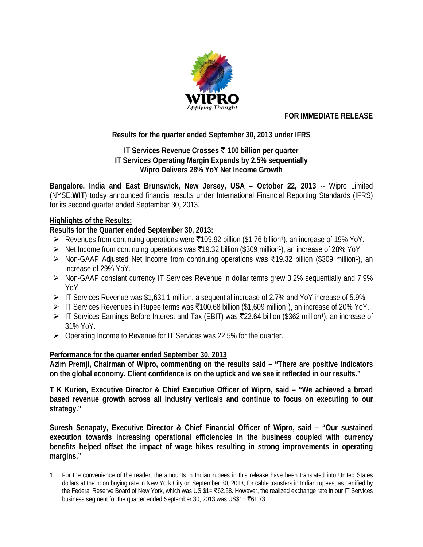

## **FOR IMMEDIATE RELEASE**

## **Results for the quarter ended September 30, 2013 under IFRS**

#### **IT Services Revenue Crosses** ` **100 billion per quarter IT Services Operating Margin Expands by 2.5% sequentially Wipro Delivers 28% YoY Net Income Growth**

**Bangalore, India and East Brunswick, New Jersey, USA – October 22, 2013** -- Wipro Limited (NYSE:**WIT**) today announced financial results under International Financial Reporting Standards (IFRS) for its second quarter ended September 30, 2013.

#### **Highlights of the Results:**

#### **Results for the Quarter ended September 30, 2013:**

- $\triangleright$  Revenues from continuing operations were ₹109.92 billion (\$1.76 billion<sup>1</sup>), an increase of 19% YoY.
- $\triangleright$  Net Income from continuing operations was ₹19.32 billion (\$309 million<sup>1</sup>), an increase of 28% YoY.
- $\triangleright$  Non-GAAP Adjusted Net Income from continuing operations was ₹19.32 billion (\$309 million<sup>1</sup>), an increase of 29% YoY.
- Non-GAAP constant currency IT Services Revenue in dollar terms grew 3.2% sequentially and 7.9% YoY
- $\triangleright$  IT Services Revenue was \$1,631.1 million, a sequential increase of 2.7% and YoY increase of 5.9%.
- $\triangleright$  IT Services Revenues in Rupee terms was ₹100.68 billion (\$1,609 million<sup>1</sup>), an increase of 20% YoY.
- ▶ IT Services Earnings Before Interest and Tax (EBIT) was ₹22.64 billion (\$362 million<sup>1</sup>), an increase of 31% YoY.
- $\triangleright$  Operating Income to Revenue for IT Services was 22.5% for the quarter.

#### **Performance for the quarter ended September 30, 2013**

**Azim Premji, Chairman of Wipro, commenting on the results said – "There are positive indicators on the global economy. Client confidence is on the uptick and we see it reflected in our results."** 

**T K Kurien, Executive Director & Chief Executive Officer of Wipro, said – "We achieved a broad based revenue growth across all industry verticals and continue to focus on executing to our strategy."** 

**Suresh Senapaty, Executive Director & Chief Financial Officer of Wipro, said – "Our sustained execution towards increasing operational efficiencies in the business coupled with currency benefits helped offset the impact of wage hikes resulting in strong improvements in operating margins."** 

<sup>1.</sup> For the convenience of the reader, the amounts in Indian rupees in this release have been translated into United States dollars at the noon buying rate in New York City on September 30, 2013, for cable transfers in Indian rupees, as certified by the Federal Reserve Board of New York, which was US \$1= ₹62.58. However, the realized exchange rate in our IT Services business segment for the quarter ended September 30, 2013 was US\$1=  $\overline{5}61.73$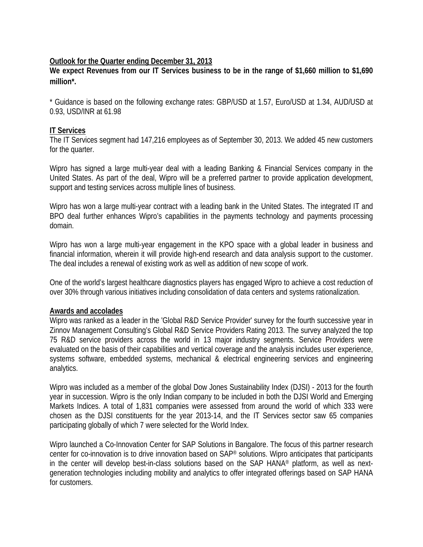#### **Outlook for the Quarter ending December 31, 2013**

**We expect Revenues from our IT Services business to be in the range of \$1,660 million to \$1,690 million\*.** 

\* Guidance is based on the following exchange rates: GBP/USD at 1.57, Euro/USD at 1.34, AUD/USD at 0.93, USD/INR at 61.98

#### **IT Services**

The IT Services segment had 147,216 employees as of September 30, 2013. We added 45 new customers for the quarter.

Wipro has signed a large multi-year deal with a leading Banking & Financial Services company in the United States. As part of the deal, Wipro will be a preferred partner to provide application development, support and testing services across multiple lines of business.

Wipro has won a large multi-year contract with a leading bank in the United States. The integrated IT and BPO deal further enhances Wipro's capabilities in the payments technology and payments processing domain.

Wipro has won a large multi-year engagement in the KPO space with a global leader in business and financial information, wherein it will provide high-end research and data analysis support to the customer. The deal includes a renewal of existing work as well as addition of new scope of work.

One of the world's largest healthcare diagnostics players has engaged Wipro to achieve a cost reduction of over 30% through various initiatives including consolidation of data centers and systems rationalization.

#### **Awards and accolades**

Wipro was ranked as a leader in the 'Global R&D Service Provider' survey for the fourth successive year in Zinnov Management Consulting's Global R&D Service Providers Rating 2013. The survey analyzed the top 75 R&D service providers across the world in 13 major industry segments. Service Providers were evaluated on the basis of their capabilities and vertical coverage and the analysis includes user experience, systems software, embedded systems, mechanical & electrical engineering services and engineering analytics.

Wipro was included as a member of the global Dow Jones Sustainability Index (DJSI) - 2013 for the fourth year in succession. Wipro is the only Indian company to be included in both the DJSI World and Emerging Markets Indices. A total of 1,831 companies were assessed from around the world of which 333 were chosen as the DJSI constituents for the year 2013-14, and the IT Services sector saw 65 companies participating globally of which 7 were selected for the World Index.

Wipro launched a Co-Innovation Center for SAP Solutions in Bangalore. The focus of this partner research center for co-innovation is to drive innovation based on SAP® solutions. Wipro anticipates that participants in the center will develop best-in-class solutions based on the SAP HANA® platform, as well as nextgeneration technologies including mobility and analytics to offer integrated offerings based on SAP HANA for customers.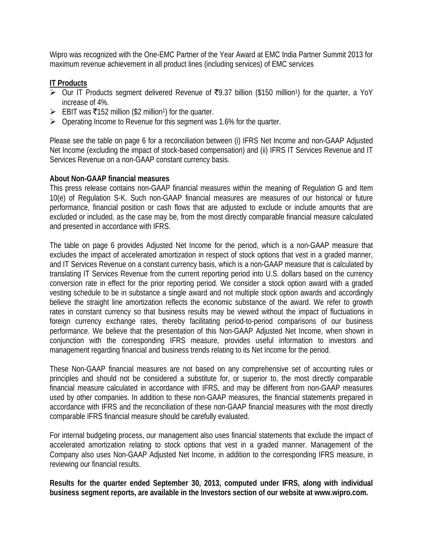Wipro was recognized with the One-EMC Partner of the Year Award at EMC India Partner Summit 2013 for maximum revenue achievement in all product lines (including services) of EMC services

#### **IT Products**

- > Our IT Products segment delivered Revenue of ₹9.37 billion (\$150 million<sup>1</sup>) for the quarter, a YoY increase of 4%.
- EBIT was  $\bar{z}$ 152 million (\$2 million<sup>1</sup>) for the quarter.
- $\triangleright$  Operating Income to Revenue for this segment was 1.6% for the quarter.

Please see the table on page 6 for a reconciliation between (i) IFRS Net Income and non-GAAP Adjusted Net Income (excluding the impact of stock-based compensation) and (ii) IFRS IT Services Revenue and IT Services Revenue on a non-GAAP constant currency basis.

#### **About Non-GAAP financial measures**

This press release contains non-GAAP financial measures within the meaning of Regulation G and Item 10(e) of Regulation S-K. Such non-GAAP financial measures are measures of our historical or future performance, financial position or cash flows that are adjusted to exclude or include amounts that are excluded or included, as the case may be, from the most directly comparable financial measure calculated and presented in accordance with IFRS.

The table on page 6 provides Adjusted Net Income for the period, which is a non-GAAP measure that excludes the impact of accelerated amortization in respect of stock options that vest in a graded manner, and IT Services Revenue on a constant currency basis, which is a non-GAAP measure that is calculated by translating IT Services Revenue from the current reporting period into U.S. dollars based on the currency conversion rate in effect for the prior reporting period. We consider a stock option award with a graded vesting schedule to be in substance a single award and not multiple stock option awards and accordingly believe the straight line amortization reflects the economic substance of the award. We refer to growth rates in constant currency so that business results may be viewed without the impact of fluctuations in foreign currency exchange rates, thereby facilitating period-to-period comparisons of our business performance. We believe that the presentation of this Non-GAAP Adjusted Net Income, when shown in conjunction with the corresponding IFRS measure, provides useful information to investors and management regarding financial and business trends relating to its Net Income for the period.

These Non-GAAP financial measures are not based on any comprehensive set of accounting rules or principles and should not be considered a substitute for, or superior to, the most directly comparable financial measure calculated in accordance with IFRS, and may be different from non-GAAP measures used by other companies. In addition to these non-GAAP measures, the financial statements prepared in accordance with IFRS and the reconciliation of these non-GAAP financial measures with the most directly comparable IFRS financial measure should be carefully evaluated.

For internal budgeting process, our management also uses financial statements that exclude the impact of accelerated amortization relating to stock options that vest in a graded manner. Management of the Company also uses Non-GAAP Adjusted Net Income, in addition to the corresponding IFRS measure, in reviewing our financial results.

**Results for the quarter ended September 30, 2013, computed under IFRS, along with individual business segment reports, are available in the Investors section of our website at www.wipro.com.**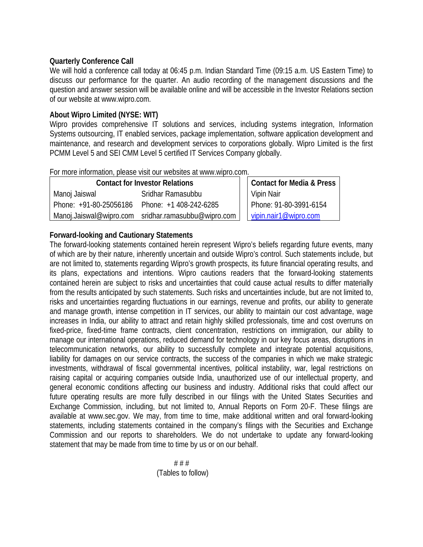#### **Quarterly Conference Call**

We will hold a conference call today at 06:45 p.m. Indian Standard Time (09:15 a.m. US Eastern Time) to discuss our performance for the quarter. An audio recording of the management discussions and the question and answer session will be available online and will be accessible in the Investor Relations section of our website at www.wipro.com.

## **About Wipro Limited (NYSE: WIT)**

Wipro provides comprehensive IT solutions and services, including systems integration, Information Systems outsourcing, IT enabled services, package implementation, software application development and maintenance, and research and development services to corporations globally. Wipro Limited is the first PCMM Level 5 and SEI CMM Level 5 certified IT Services Company globally.

For more information, please visit our websites at www.wipro.com.

| <b>Contact for Investor Relations</b> |                                                     |  | Contact for Media & Press |  |  |
|---------------------------------------|-----------------------------------------------------|--|---------------------------|--|--|
| Manoj Jaiswal                         | Sridhar Ramasubbu                                   |  | Vipin Nair                |  |  |
| Phone: +91-80-25056186                | Phone: +1 408-242-6285                              |  | Phone: 91-80-3991-6154    |  |  |
|                                       | Manoj.Jaiswal@wipro.com sridhar.ramasubbu@wipro.com |  | vipin.nair1@wipro.com     |  |  |

## **Forward-looking and Cautionary Statements**

The forward-looking statements contained herein represent Wipro's beliefs regarding future events, many of which are by their nature, inherently uncertain and outside Wipro's control. Such statements include, but are not limited to, statements regarding Wipro's growth prospects, its future financial operating results, and its plans, expectations and intentions. Wipro cautions readers that the forward-looking statements contained herein are subject to risks and uncertainties that could cause actual results to differ materially from the results anticipated by such statements. Such risks and uncertainties include, but are not limited to, risks and uncertainties regarding fluctuations in our earnings, revenue and profits, our ability to generate and manage growth, intense competition in IT services, our ability to maintain our cost advantage, wage increases in India, our ability to attract and retain highly skilled professionals, time and cost overruns on fixed-price, fixed-time frame contracts, client concentration, restrictions on immigration, our ability to manage our international operations, reduced demand for technology in our key focus areas, disruptions in telecommunication networks, our ability to successfully complete and integrate potential acquisitions, liability for damages on our service contracts, the success of the companies in which we make strategic investments, withdrawal of fiscal governmental incentives, political instability, war, legal restrictions on raising capital or acquiring companies outside India, unauthorized use of our intellectual property, and general economic conditions affecting our business and industry. Additional risks that could affect our future operating results are more fully described in our filings with the United States Securities and Exchange Commission, including, but not limited to, Annual Reports on Form 20-F. These filings are available at www.sec.gov. We may, from time to time, make additional written and oral forward-looking statements, including statements contained in the company's filings with the Securities and Exchange Commission and our reports to shareholders. We do not undertake to update any forward-looking statement that may be made from time to time by us or on our behalf.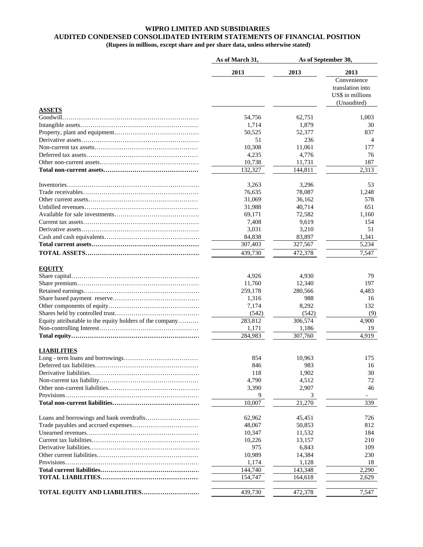#### **WIPRO LIMITED AND SUBSIDIARIES**

#### **AUDITED CONDENSED CONSOLIDATED INTERIM STATEMENTS OF FINANCIAL POSITION (Rupees in millions, except share and per share data, unless otherwise stated)**

|                                                          | As of March 31, | As of September 30, |                  |  |  |
|----------------------------------------------------------|-----------------|---------------------|------------------|--|--|
|                                                          | 2013            | 2013                | 2013             |  |  |
|                                                          |                 |                     | Convenience      |  |  |
|                                                          |                 |                     | translation into |  |  |
|                                                          |                 |                     | US\$ in millions |  |  |
|                                                          |                 |                     | (Unaudited)      |  |  |
| <b>ASSETS</b>                                            |                 |                     |                  |  |  |
| Goodwill                                                 | 54,756          | 62,751              | 1,003            |  |  |
|                                                          | 1,714           | 1,879               | 30               |  |  |
|                                                          | 50,525          | 52,377              | 837              |  |  |
|                                                          | 51              | 236                 | 4                |  |  |
|                                                          | 10,308          | 11,061              | 177              |  |  |
|                                                          | 4,235           | 4,776               | 76               |  |  |
|                                                          | 10,738          | 11,731              | 187              |  |  |
|                                                          | 132,327         | 144,811             | 2,313            |  |  |
|                                                          | 3,263           | 3,296               | 53               |  |  |
|                                                          | 76,635          | 78,087              | 1,248            |  |  |
|                                                          | 31,069          | 36,162              | 578              |  |  |
|                                                          | 31,988          | 40,714              | 651              |  |  |
|                                                          | 69,171          | 72,582              | 1,160            |  |  |
|                                                          | 7,408           | 9,619               | 154              |  |  |
|                                                          | 3,031           | 3,210               | 51               |  |  |
|                                                          | 84,838          | 83,897              | 1,341            |  |  |
|                                                          | 307,403         | 327,567             | 5,234            |  |  |
|                                                          | 439,730         | 472,378             | 7,547            |  |  |
|                                                          |                 |                     |                  |  |  |
| <b>EQUITY</b>                                            |                 |                     |                  |  |  |
|                                                          | 4,926           | 4,930               | 79               |  |  |
|                                                          | 11,760          | 12,340              | 197              |  |  |
|                                                          | 259,178         | 280,566             | 4,483            |  |  |
|                                                          | 1,316           | 988                 | 16               |  |  |
|                                                          | 7,174           | 8,292               | 132              |  |  |
|                                                          | (542)           | (542)               | (9)              |  |  |
| Equity attributable to the equity holders of the company | 283,812         | 306,574             | 4,900            |  |  |
|                                                          | 1,171           | 1,186               | 19               |  |  |
|                                                          | 284,983         | 307,760             | 4,919            |  |  |
|                                                          |                 |                     |                  |  |  |
| <b>LIABILITIES</b>                                       |                 |                     |                  |  |  |
|                                                          | 854             | 10,963              | 175              |  |  |
|                                                          | 846             | 983                 | 16               |  |  |
|                                                          | 118             | 1,902               | 30               |  |  |
|                                                          | 4,790           | 4,512               | 72               |  |  |
|                                                          | 3,390           | 2,907               | 46               |  |  |
|                                                          | 9               | 3                   |                  |  |  |
|                                                          | 10,007          | 21,270              | 339              |  |  |
|                                                          | 62,962          | 45,451              | 726              |  |  |
|                                                          | 48,067          | 50,853              | 812              |  |  |
|                                                          | 10,347          | 11,532              | 184              |  |  |
|                                                          | 10,226          | 13,157              | 210              |  |  |
|                                                          | 975             | 6,843               | 109              |  |  |
|                                                          | 10,989          | 14,384              | 230              |  |  |
|                                                          | 1,174           | 1,128               | 18               |  |  |
|                                                          | 144,740         | 143,348             | 2,290            |  |  |
|                                                          | 154,747         | 164,618             | 2,629            |  |  |
|                                                          |                 |                     |                  |  |  |
| TOTAL EQUITY AND LIABILITIES                             | 439,730         | 472,378             | 7,547            |  |  |